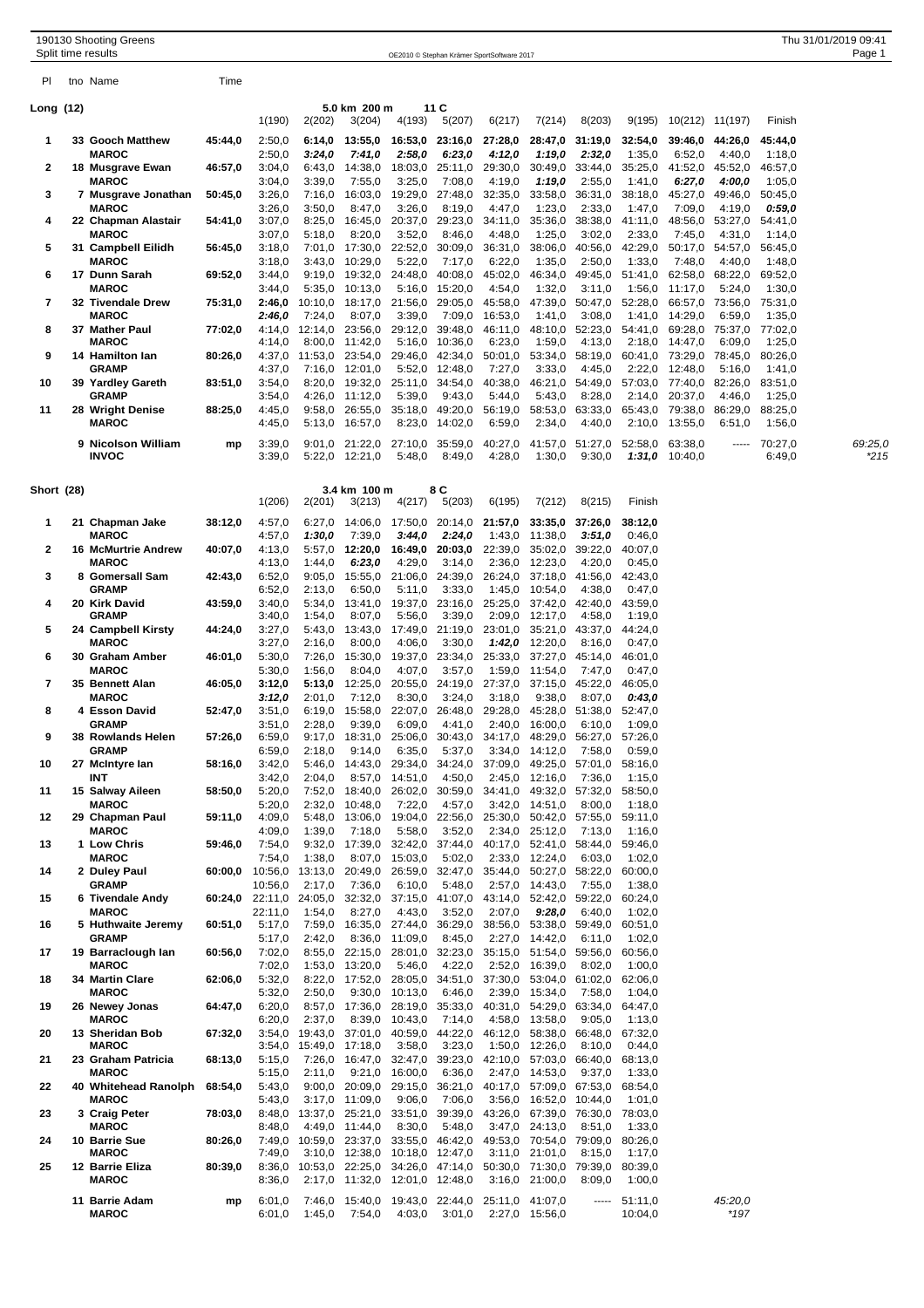|                   |  | 190130 Shooting Greens<br>Split time results |         |                   |                                          |                           |                                                           |                            | OE2010 © Stephan Krämer SportSoftware 2017                |                                                   |                           |                    |                                    |                           |                   | Thu 31/01/2019 09:41<br>Page 1 |
|-------------------|--|----------------------------------------------|---------|-------------------|------------------------------------------|---------------------------|-----------------------------------------------------------|----------------------------|-----------------------------------------------------------|---------------------------------------------------|---------------------------|--------------------|------------------------------------|---------------------------|-------------------|--------------------------------|
| PI                |  | tno Name                                     | Time    |                   |                                          |                           |                                                           |                            |                                                           |                                                   |                           |                    |                                    |                           |                   |                                |
| Long (12)         |  |                                              |         | 1(190)            | 2(202)                                   | 5.0 km 200 m<br>3(204)    | 4(193)                                                    | 11C<br>5(207)              | 6(217)                                                    | 7(214)                                            | 8(203)                    | 9(195)             | 10(212) 11(197)                    |                           | Finish            |                                |
| -1                |  | 33 Gooch Matthew                             | 45:44,0 | 2:50,0            | 6:14,0                                   | 13:55,0                   | 16:53,0                                                   | 23:16,0                    | 27:28,0                                                   | 28:47,0                                           | 31:19,0                   | 32:54,0            | 39:46,0                            | 44:26,0                   | 45:44,0           |                                |
| 2                 |  | <b>MAROC</b><br>18 Musgrave Ewan             | 46:57,0 | 2:50,0<br>3:04,0  | 3:24,0<br>6:43,0                         | 7:41,0<br>14:38,0         | 2:58,0                                                    | 6:23,0<br>18:03,0 25:11,0  | 4:12,0<br>29:30,0                                         | 1:19,0                                            | 2:32,0<br>30:49,0 33:44,0 | 1:35,0<br>35:25,0  | 6:52,0                             | 4:40,0<br>41:52,0 45:52,0 | 1:18,0<br>46:57,0 |                                |
| 3                 |  | <b>MAROC</b><br>7 Musgrave Jonathan          | 50:45,0 | 3:04,0<br>3:26,0  | 3:39,0<br>7:16,0                         | 7:55,0<br>16:03.0         | 3:25,0                                                    | 7:08,0<br>19:29,0 27:48,0  | 4:19,0<br>32:35,0                                         | 1:19,0                                            | 2:55,0<br>33:58,0 36:31,0 | 1:41,0<br>38:18,0  | 6:27,0<br>45:27,0                  | 4:00,0<br>49:46,0         | 1:05,0<br>50:45.0 |                                |
| 4                 |  | <b>MAROC</b><br>22 Chapman Alastair          | 54:41,0 | 3:26,0<br>3:07,0  | 3:50,0<br>8:25,0                         | 8:47,0<br>16:45,0         | 3:26,0<br>20:37,0                                         | 8:19,0<br>29:23,0          | 4:47,0<br>34:11,0                                         | 1:23,0<br>35:36,0                                 | 2:33,0<br>38:38,0         | 1:47,0<br>41:11,0  | 7:09,0<br>48:56,0                  | 4:19,0<br>53:27,0         | 0.59,0<br>54:41,0 |                                |
| 5                 |  | <b>MAROC</b><br>31 Campbell Eilidh           | 56:45,0 | 3:07,0<br>3:18,0  | 5:18,0<br>7:01,0                         | 8:20,0<br>17:30,0         | 3:52,0<br>22:52,0                                         | 8:46,0<br>30:09,0          | 4:48,0<br>36:31,0                                         | 1:25,0<br>38:06,0                                 | 3:02,0<br>40:56,0         | 2:33,0<br>42:29,0  | 7:45,0<br>50:17,0                  | 4:31,0<br>54:57,0         | 1:14,0<br>56:45,0 |                                |
| 6                 |  | <b>MAROC</b><br>17 Dunn Sarah                | 69:52,0 | 3:18,0<br>3:44,0  | 3:43,0<br>9:19,0                         | 10:29.0<br>19:32,0        | 5:22.0                                                    | 7:17,0<br>24:48,0 40:08,0  | 6:22,0<br>45:02,0                                         | 1:35,0<br>46:34,0                                 | 2:50,0<br>49:45,0         | 1:33,0<br>51:41,0  | 7:48,0                             | 4:40,0<br>62:58,0 68:22,0 | 1:48,0<br>69:52,0 |                                |
| 7                 |  | <b>MAROC</b><br>32 Tivendale Drew            | 75:31,0 | 3:44,0<br>2:46,0  | 5:35,0<br>10:10,0                        | 10:13,0<br>18:17,0        | 21:56,0                                                   | 5:16,0 15:20,0<br>29:05,0  | 4:54,0<br>45:58,0                                         | 1:32,0                                            | 3:11,0<br>47:39,0 50:47,0 | 1:56,0<br>52:28,0  | 11:17,0<br>66:57,0                 | 5:24,0<br>73:56,0         | 1:30,0<br>75:31,0 |                                |
| 8                 |  | <b>MAROC</b><br>37 Mather Paul               | 77:02,0 | 2:46,0            | 7:24,0<br>4:14,0 12:14,0                 | 8:07,0<br>23:56,0         | 3:39,0<br>29:12,0                                         | 7:09,0<br>39:48,0          | 16:53,0<br>46:11,0                                        | 1:41,0                                            | 3:08,0<br>48:10,0 52:23,0 | 1:41,0             | 14:29,0<br>54:41,0 69:28,0 75:37,0 | 6:59,0                    | 1:35,0<br>77:02,0 |                                |
| 9                 |  | <b>MAROC</b><br>14 Hamilton lan              | 80:26,0 | 4:14,0<br>4:37,0  | 8:00,0<br>11:53,0                        | 11:42,0<br>23:54,0        | 5:16.0                                                    | 10:36,0<br>29:46,0 42:34,0 | 6:23,0<br>50:01,0                                         | 1:59,0                                            | 4:13,0<br>53:34,0 58:19,0 | 2:18,0             | 14:47,0<br>60:41,0 73:29,0 78:45,0 | 6:09,0                    | 1:25,0<br>80:26,0 |                                |
| 10                |  | <b>GRAMP</b><br>39 Yardley Gareth            | 83:51,0 | 4:37,0<br>3:54,0  | 7:16,0<br>8:20,0                         | 12:01,0<br>19:32,0        | 5:52,0                                                    | 12:48,0<br>25:11,0 34:54,0 | 7:27,0<br>40:38,0                                         | 3:33,0                                            | 4:45,0<br>46:21,0 54:49,0 | 2:22,0             | 12:48,0<br>57:03,0 77:40,0 82:26,0 | 5:16,0                    | 1:41,0<br>83:51,0 |                                |
| 11                |  | <b>GRAMP</b><br>28 Wright Denise             | 88:25,0 | 3:54,0<br>4:45,0  | 4:26,0<br>9:58,0                         | 11:12,0<br>26:55,0        | 5:39,0                                                    | 9:43,0<br>35:18,0 49:20,0  | 5:44,0<br>56:19,0                                         | 5:43,0                                            | 8:28,0<br>58:53,0 63:33,0 | 65:43,0            | 2:14,0 20:37,0<br>79:38,0          | 4:46,0<br>86:29,0         | 1:25,0<br>88:25,0 |                                |
|                   |  | <b>MAROC</b>                                 |         | 4:45,0            | 5:13,0                                   | 16:57,0                   |                                                           | 8:23,0 14:02,0             | 6:59,0                                                    | 2:34,0                                            | 4:40,0                    |                    | 2:10,0 13:55,0                     | 6:51,0                    | 1:56,0            |                                |
|                   |  | 9 Nicolson William<br><b>INVOC</b>           | mp      | 3:39,0<br>3:39,0  | 9:01,0<br>5:22.0                         | 21:22,0<br>12:21,0        | 27:10,0<br>5:48,0                                         | 35:59,0<br>8:49,0          | 40:27,0<br>4:28,0                                         | 1:30,0                                            | 41:57,0 51:27,0<br>9:30,0 | 52:58,0            | 63:38,0<br>$1:31,0$ 10:40,0        | -----                     | 70:27,0<br>6:49,0 | 69:25,0<br>*215                |
| <b>Short</b> (28) |  |                                              |         | 1(206)            | 2(201)                                   | 3.4 km 100 m<br>3(213)    | 4(217)                                                    | 8 C<br>5(203)              | 6(195)                                                    | 7(212)                                            | 8(215)                    | Finish             |                                    |                           |                   |                                |
| 1                 |  | 21 Chapman Jake                              | 38:12,0 | 4:57,0            | 6:27,0                                   | 14:06,0                   |                                                           | 17:50,0 20:14,0            | 21:57,0                                                   | 33:35,0                                           | 37:26,0                   | 38:12,0            |                                    |                           |                   |                                |
| $\mathbf{2}$      |  | <b>MAROC</b><br><b>16 McMurtrie Andrew</b>   | 40:07.0 | 4:57,0<br>4:13,0  | 1:30,0<br>5:57,0                         | 7:39,0<br>12:20,0         | 3:44,0<br>16:49,0                                         | 2:24,0<br>20:03,0          | 1:43,0<br>22:39,0                                         | 11:38,0                                           | 3:51,0<br>35:02,0 39:22,0 | 0:46,0<br>40:07,0  |                                    |                           |                   |                                |
| 3                 |  | <b>MAROC</b><br>8 Gomersall Sam              | 42:43,0 | 4:13,0<br>6:52,0  | 1:44,0<br>9:05,0                         | 6:23.0<br>15:55,0         | 4:29,0                                                    | 3:14,0<br>21:06,0 24:39,0  | 2:36,0<br>26:24,0                                         | 12:23,0                                           | 4:20,0<br>37:18,0 41:56,0 | 0:45,0<br>42:43,0  |                                    |                           |                   |                                |
| 4                 |  | <b>GRAMP</b><br>20 Kirk David                | 43:59,0 | 6:52,0<br>3:40,0  | 2:13,0<br>5:34,0                         | 6:50,0<br>13:41,0         | 5:11,0<br>19:37,0                                         | 3:33,0<br>23:16,0          | 1:45,0<br>25:25,0                                         | 10:54,0<br>37:42,0                                | 4:38,0<br>42:40,0         | 0:47,0<br>43:59,0  |                                    |                           |                   |                                |
| 5                 |  | <b>GRAMP</b><br>24 Campbell Kirsty           | 44:24,0 | 3:40,0<br>3:27,0  | 1:54,0<br>5:43,0                         | 8:07,0<br>13:43,0         | 5:56,0<br>17:49,0                                         | 3:39,0<br>21:19,0          | 2:09,0<br>23:01,0                                         | 12:17,0<br>35:21,0                                | 4:58,0<br>43:37,0         | 1:19,0<br>44:24,0  |                                    |                           |                   |                                |
| 6                 |  | <b>MAROC</b><br>30 Graham Amber              | 46:01.0 | 3:27,0<br>5:30,0  | 2:16,0<br>7:26,0                         | 8:00,0<br>15:30,0         | 4:06,0                                                    | 3:30,0<br>19:37,0 23:34,0  |                                                           | $1:42,0$ 12:20,0<br>25:33,0 37:27,0 45:14,0       | 8:16,0                    | 0:47,0<br>46:01,0  |                                    |                           |                   |                                |
| 7                 |  | <b>MAROC</b><br>35 Bennett Alan              | 46:05,0 | 5:30,0<br>3:12,0  | 1:56,0<br>5:13,0                         | 8:04,0<br>12:25,0         | 4:07,0                                                    | 3:57,0<br>20:55,0 24:19,0  | 1:59,0<br>27:37,0                                         | 11:54.0<br>37:15,0 45:22,0                        | 7:47,0                    | 0:47,0<br>46:05,0  |                                    |                           |                   |                                |
| 8                 |  | <b>MAROC</b><br>4 Esson David                | 52:47,0 | 3:12,0<br>3:51,0  | 2:01,0<br>6:19,0                         | 7:12,0<br>15:58,0         | 8:30,0<br>22:07,0                                         | 3:24,0<br>26:48,0          | 3:18,0<br>29:28,0                                         | 9:38,0                                            | 8:07,0<br>45:28,0 51:38,0 | 0:43,0<br>52:47,0  |                                    |                           |                   |                                |
| 9                 |  | <b>GRAMP</b><br>38 Rowlands Helen            | 57:26,0 | 3:51,0<br>6:59,0  | 2:28,0<br>9:17,0                         | 9:39,0<br>18:31,0         | 6:09,0<br>25:06,0                                         | 4:41.0<br>30:43,0          | 2:40,0<br>34:17,0                                         | 16:00.0<br>48:29,0                                | 6:10,0<br>56:27,0         | 1:09,0<br>57:26,0  |                                    |                           |                   |                                |
| 10                |  | <b>GRAMP</b><br>27 McIntyre lan              | 58:16,0 | 6:59,0<br>3:42,0  | 2:18,0<br>5:46,0                         | 9:14,0<br>14:43,0         | 6:35,0                                                    | 5:37,0<br>29:34,0 34:24,0  |                                                           | 3:34,0 14:12,0<br>37:09,0 49:25,0 57:01,0         | 7:58,0                    | 0:59,0<br>58:16.0  |                                    |                           |                   |                                |
| 11                |  | INT<br>15 Salway Aileen                      | 58:50,0 | 3:42,0<br>5:20,0  | 2:04,0<br>7:52,0                         | 8:57.0<br>18:40,0         | 14:51,0                                                   | 4:50,0<br>26:02,0 30:59,0  |                                                           | 2:45,0 12:16,0<br>34:41,0 49:32,0 57:32,0         | 7:36,0                    | 1:15,0<br>58:50,0  |                                    |                           |                   |                                |
| 12                |  | <b>MAROC</b><br>29 Chapman Paul              | 59:11,0 | 5:20,0<br>4:09,0  | 2:32,0<br>5:48,0                         | 10:48.0<br>13:06,0        | 7:22,0                                                    | 4:57,0<br>19:04,0 22:56,0  |                                                           | 3:42,0 14:51,0<br>25:30,0 50:42,0 57:55,0         | 8:00,0                    | 1:18,0<br>59:11,0  |                                    |                           |                   |                                |
| 13                |  | <b>MAROC</b><br>1 Low Chris                  | 59:46,0 | 4:09,0<br>7:54,0  | 1:39,0<br>9:32,0                         | 7:18,0<br>17:39,0         | 5:58,0                                                    | 3:52,0<br>32:42,0 37:44,0  |                                                           | 2:34,0 25:12,0<br>40:17,0 52:41,0 58:44,0         | 7:13,0                    | 1:16,0<br>59:46,0  |                                    |                           |                   |                                |
| 14                |  | <b>MAROC</b><br>2 Duley Paul                 | 60:00,0 | 7:54,0<br>10:56,0 | 1:38,0<br>13:13,0                        | 8:07,0<br>20:49,0         | 15:03,0                                                   | 5:02,0<br>26:59,0 32:47,0  |                                                           | 2:33,0 12:24,0<br>35:44,0 50:27,0 58:22,0         | 6:03.0                    | 1:02,0<br>60:00,0  |                                    |                           |                   |                                |
| 15                |  | <b>GRAMP</b><br>6 Tivendale Andy             | 60:24,0 | 10:56,0           | 2:17.0<br>22:11,0 24:05,0                | 7:36,0                    | 6:10,0                                                    | 5:48,0                     | 2:57,0<br>32:32,0 37:15,0 41:07,0 43:14,0 52:42,0 59:22,0 | 14:43,0                                           | 7:55,0                    | 1:38,0<br>60:24,0  |                                    |                           |                   |                                |
| 16                |  | <b>MAROC</b><br>5 Huthwaite Jeremy           | 60:51,0 | 22:11,0<br>5:17,0 | 1:54,0                                   | 8:27,0                    | 4:43,0<br>7:59,0 16:35,0 27:44,0 36:29,0                  | 3:52,0                     | 2:07,0                                                    | 9:28,0<br>38:56,0 53:38,0 59:49,0                 | 6:40,0                    | 1:02,0<br>60:51,0  |                                    |                           |                   |                                |
| 17                |  | <b>GRAMP</b><br>19 Barraclough lan           | 60:56,0 | 5:17,0<br>7:02,0  | 2:42,0<br>8:55,0                         | 8:36,0<br>22:15,0         | 11:09,0                                                   | 8:45,0<br>28:01,0 32:23,0  | 2:27,0                                                    | 14:42,0<br>35:15,0 51:54,0 59:56,0                | 6:11,0                    | 1:02,0<br>60:56,0  |                                    |                           |                   |                                |
| 18                |  | <b>MAROC</b><br>34 Martin Clare              |         | 7:02,0<br>5:32,0  | 1:53,0                                   | 13:20,0<br>8:22,0 17:52,0 | 5:46,0                                                    | 4:22,0<br>28:05,0 34:51,0  | 2:52,0                                                    | 16:39,0<br>37:30.0 53:04.0 61:02.0                | 8:02,0                    | 1:00,0<br>62:06,0  |                                    |                           |                   |                                |
|                   |  | <b>MAROC</b>                                 | 62:06,0 | 5:32,0            | 2:50,0                                   | 9:30,0                    | 10:13,0                                                   | 6:46,0                     |                                                           | 2:39,0 15:34,0                                    | 7:58,0                    | 1:04,0             |                                    |                           |                   |                                |
| 19                |  | 26 Newey Jonas<br><b>MAROC</b>               | 64:47,0 | 6:20,0<br>6:20,0  | 2:37,0                                   | 8:57,0 17:36,0<br>8:39,0  | 10:43,0                                                   | 28:19,0 35:33,0<br>7:14,0  |                                                           | 40:31,0 54:29,0 63:34,0<br>4:58,0 13:58,0         | 9:05,0                    | 64:47,0<br>1:13,0  |                                    |                           |                   |                                |
| 20                |  | 13 Sheridan Bob<br><b>MAROC</b>              | 67:32,0 |                   | 3:54,0 19:43,0<br>3:54,0 15:49,0 17:18,0 | 37:01,0                   | 3:58,0                                                    | 40:59,0 44:22,0<br>3:23,0  |                                                           | 46:12,0 58:38,0 66:48,0<br>1:50,0 12:26,0         | 8:10,0                    | 67:32,0<br>0:44,0  |                                    |                           |                   |                                |
| 21                |  | 23 Graham Patricia<br><b>MAROC</b>           | 68:13,0 | 5:15,0<br>5:15,0  | 2:11,0                                   | 7:26,0 16:47,0<br>9:21,0  | 16:00,0                                                   | 32:47,0 39:23,0<br>6:36,0  |                                                           | 42:10,0 57:03,0 66:40,0<br>2:47,0 14:53,0         | 9:37,0                    | 68:13,0<br>1:33,0  |                                    |                           |                   |                                |
| 22                |  | 40 Whitehead Ranolph<br><b>MAROC</b>         | 68:54,0 | 5:43,0<br>5:43,0  | 9:00,0<br>3:17,0                         | 20:09,0<br>11:09,0        | 29:15,0<br>9:06,0                                         | 36:21,0<br>7:06,0          |                                                           | 40:17,0 57:09,0 67:53,0<br>3:56,0 16:52,0 10:44,0 |                           | 68:54,0<br>1:01,0  |                                    |                           |                   |                                |
| 23                |  | 3 Craig Peter<br><b>MAROC</b>                | 78:03,0 | 8:48,0<br>8:48,0  | 13:37,0<br>4:49,0                        | 25:21,0<br>11:44,0        | 8:30,0                                                    | 33:51,0 39:39,0<br>5:48,0  |                                                           | 43:26,0 67:39,0 76:30,0<br>3:47,0 24:13,0         | 8:51,0                    | 78:03,0<br>1:33,0  |                                    |                           |                   |                                |
| 24                |  | 10 Barrie Sue<br><b>MAROC</b>                | 80:26,0 | 7:49,0            | 7:49,0 10:59,0 23:37,0                   | $3:10,0$ 12:38,0          | 10:18,0 12:47,0                                           | 33:55,0 46:42,0            |                                                           | 49:53,0 70:54,0 79:09,0<br>3:11,0 21:01,0         | 8:15,0                    | 80:26,0<br>1:17,0  |                                    |                           |                   |                                |
| 25                |  | 12 Barrie Eliza<br><b>MAROC</b>              | 80:39,0 | 8:36,0            | 2:17,0                                   | 11:32,0                   | 8:36,0 10:53,0 22:25,0 34:26,0 47:14,0<br>12:01,0 12:48,0 |                            |                                                           | 50:30,0 71:30,0 79:39,0<br>3:16,0 21:00,0         | 8:09,0                    | 80:39,0<br>1:00,0  |                                    |                           |                   |                                |
|                   |  | 11 Barrie Adam<br><b>MAROC</b>               | mp      | 6:01,0<br>6:01,0  | 1:45,0                                   | 7:54,0                    | 4:03,0                                                    | 3:01,0                     | 7:46.0 15:40,0 19:43,0 22:44,0 25:11,0 41:07,0            | 2:27,0 15:56,0                                    | -----                     | 51:11,0<br>10:04,0 |                                    | 45:20,0<br>$*197$         |                   |                                |